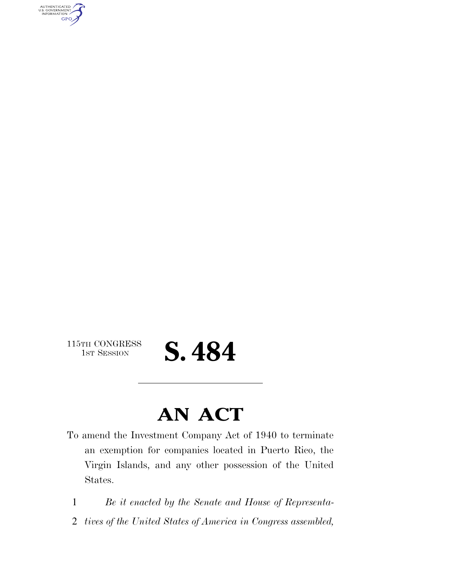AUTHENTICATED<br>U.S. GOVERNMENT<br>INFORMATION **GPO** 

 $\begin{array}{c} \textbf{115TH CONGRESS} \\ \textbf{1ST SESION} \end{array}$ 

## S. 484

### **AN ACT**

To amend the Investment Company Act of 1940 to terminate an exemption for companies located in Puerto Rico, the Virgin Islands, and any other possession of the United States.

1 *Be it enacted by the Senate and House of Representa-*

2 *tives of the United States of America in Congress assembled,*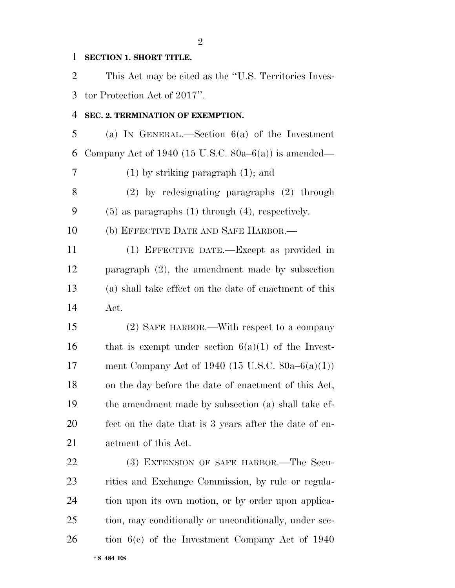#### **SECTION 1. SHORT TITLE.**

 This Act may be cited as the ''U.S. Territories Inves-tor Protection Act of 2017''.

#### **SEC. 2. TERMINATION OF EXEMPTION.**

 (a) IN GENERAL.—Section 6(a) of the Investment 6 Company Act of 1940 (15 U.S.C. 80a–6(a)) is amended—

(1) by striking paragraph (1); and

 (2) by redesignating paragraphs (2) through (5) as paragraphs (1) through (4), respectively.

(b) EFFECTIVE DATE AND SAFE HARBOR.—

 (1) EFFECTIVE DATE.—Except as provided in paragraph (2), the amendment made by subsection (a) shall take effect on the date of enactment of this Act.

 (2) SAFE HARBOR.—With respect to a company 16 that is exempt under section  $6(a)(1)$  of the Invest- ment Company Act of 1940 (15 U.S.C. 80a–6(a)(1)) on the day before the date of enactment of this Act, the amendment made by subsection (a) shall take ef- fect on the date that is 3 years after the date of en-actment of this Act.

†**S 484 ES** 22 (3) EXTENSION OF SAFE HARBOR.—The Secu- rities and Exchange Commission, by rule or regula- tion upon its own motion, or by order upon applica- tion, may conditionally or unconditionally, under sec-26 tion 6(c) of the Investment Company Act of 1940

####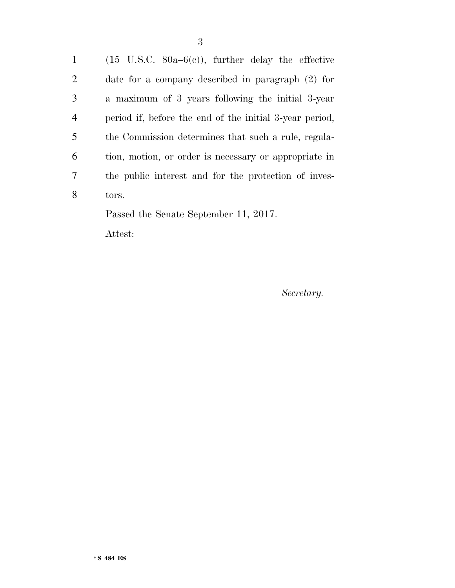1 (15 U.S.C.  $80a-6(c)$ ), further delay the effective date for a company described in paragraph (2) for a maximum of 3 years following the initial 3-year period if, before the end of the initial 3-year period, the Commission determines that such a rule, regula- tion, motion, or order is necessary or appropriate in the public interest and for the protection of inves-tors.

> Passed the Senate September 11, 2017. Attest:

> > *Secretary.*